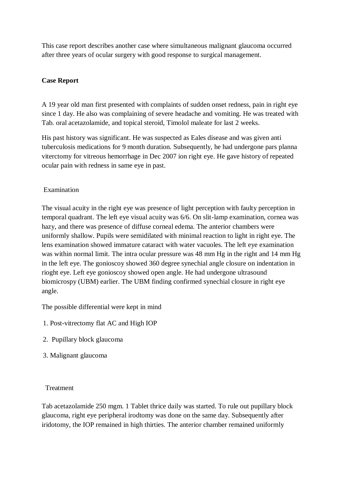This case report describes another case where simultaneous malignant glaucoma occurred after three years of ocular surgery with good response to surgical management.

# **Case Report**

A 19 year old man first presented with complaints of sudden onset redness, pain in right eye since 1 day. He also was complaining of severe headache and vomiting. He was treated with Tab. oral acetazolamide, and topical steroid, Timolol maleate for last 2 weeks.

His past history was significant. He was suspected as Eales disease and was given anti tuberculosis medications for 9 month duration. Subsequently, he had undergone pars planna viterctomy for vitreous hemorrhage in Dec 2007 ion right eye. He gave history of repeated ocular pain with redness in same eye in past.

# Examination

The visual acuity in the right eye was presence of light perception with faulty perception in temporal quadrant. The left eye visual acuity was 6/6. On slit-lamp examination, cornea was hazy, and there was presence of diffuse corneal edema. The anterior chambers were uniformly shallow. Pupils were semidilated with minimal reaction to light in right eye. The lens examination showed immature cataract with water vacuoles. The left eye examination was within normal limit. The intra ocular pressure was 48 mm Hg in the right and 14 mm Hg in the left eye. The gonioscoy showed 360 degree synechial angle closure on indentation in rioght eye. Left eye gonioscoy showed open angle. He had undergone ultrasound biomicrospy (UBM) earlier. The UBM finding confirmed synechial closure in right eye angle.

The possible differential were kept in mind

- 1. Post-vitrectomy flat AC and High IOP
- 2. Pupillary block glaucoma
- 3. Malignant glaucoma

## Treatment

Tab acetazolamide 250 mgm. 1 Tablet thrice daily was started. To rule out pupillary block glaucoma, right eye peripheral irodtomy was done on the same day. Subsequently after iridotomy, the IOP remained in high thirties. The anterior chamber remained uniformly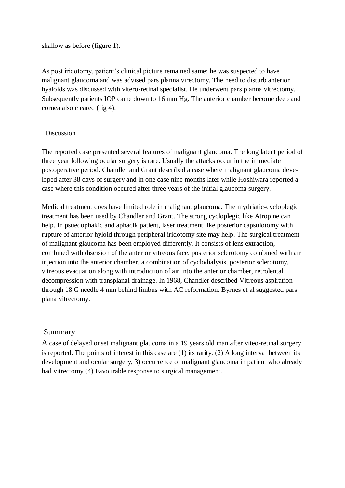shallow as before (figure 1).

As post iridotomy, patient's clinical picture remained same; he was suspected to have malignant glaucoma and was advised pars planna virectomy. The need to disturb anterior hyaloids was discussed with vitero-retinal specialist. He underwent pars planna vitrectomy. Subsequently patients IOP came down to 16 mm Hg. The anterior chamber become deep and cornea also cleared (fig 4).

### Discussion

The reported case presented several features of malignant glaucoma. The long latent period of three year following ocular surgery is rare. Usually the attacks occur in the immediate postoperative period. Chandler and Grant described a case where malignant glaucoma developed after 38 days of surgery and in one case nine months later while Hoshiwara reported a case where this condition occured after three years of the initial glaucoma surgery.

Medical treatment does have limited role in malignant glaucoma. The mydriatic-cycloplegic treatment has been used by Chandler and Grant. The strong cycloplegic like Atropine can help. In psuedophakic and aphacik patient, laser treatment like posterior capsulotomy with rupture of anterior hyloid through peripheral iridotomy site may help. The surgical treatment of malignant glaucoma has been employed differently. It consists of lens extraction, combined with discision of the anterior vitreous face, posterior sclerotomy combined with air injection into the anterior chamber, a combination of cyclodialysis, posterior sclerotomy, vitreous evacuation along with introduction of air into the anterior chamber, retrolental decompression with transplanal drainage. In 1968, Chandler described Vitreous aspiration through 18 G needle 4 mm behind limbus with AC reformation. Byrnes et al suggested pars plana vitrectomy.

## Summary

A case of delayed onset malignant glaucoma in a 19 years old man after viteo-retinal surgery is reported. The points of interest in this case are (1) its rarity. (2) A long interval between its development and ocular surgery, 3) occurrence of malignant glaucoma in patient who already had vitrectomy (4) Favourable response to surgical management.